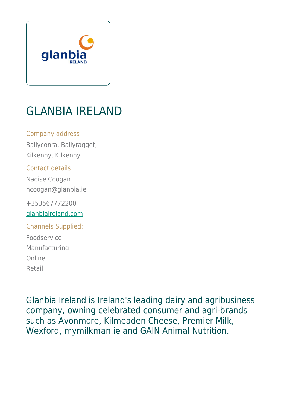

# GLANBIA IRELAND

Company address Ballyconra, Ballyragget, Kilkenny, Kilkenny

#### Contact details

Naoise Coogan [ncoogan@glanbia.ie](mailto:ncoogan@glanbia.ie)

[+353567772200](#page--1-0) [glanbiaireland.com](http://www.glanbiaireland.com)

Channels Supplied:

Foodservice Manufacturing **Online** Retail

Glanbia Ireland is Ireland's leading dairy and agribusiness company, owning celebrated consumer and agri-brands such as Avonmore, Kilmeaden Cheese, Premier Milk, Wexford, mymilkman.ie and GAIN Animal Nutrition.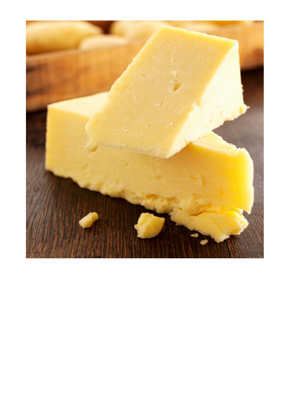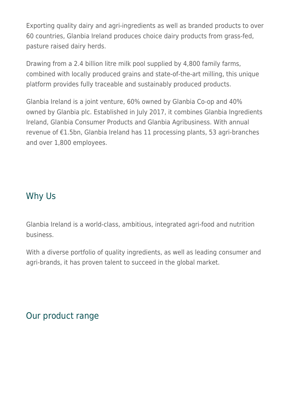Exporting quality dairy and agri-ingredients as well as branded products to over 60 countries, Glanbia Ireland produces choice dairy products from grass-fed, pasture raised dairy herds.

Drawing from a 2.4 billion litre milk pool supplied by 4,800 family farms, combined with locally produced grains and state-of-the-art milling, this unique platform provides fully traceable and sustainably produced products.

Glanbia Ireland is a joint venture, 60% owned by Glanbia Co-op and 40% owned by Glanbia plc. Established in July 2017, it combines Glanbia Ingredients Ireland, Glanbia Consumer Products and Glanbia Agribusiness. With annual revenue of €1.5bn, Glanbia Ireland has 11 processing plants, 53 agri-branches and over 1,800 employees.

### Why Us

Glanbia Ireland is a world-class, ambitious, integrated agri-food and nutrition business.

With a diverse portfolio of quality ingredients, as well as leading consumer and agri-brands, it has proven talent to succeed in the global market.

#### Our product range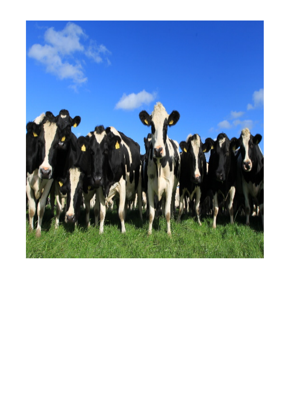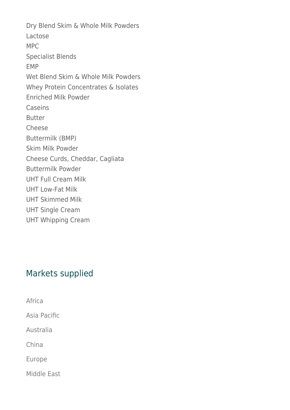Dry Blend Skim & Whole Milk Powders Lactose MPC Specialist Blends EMP Wet Blend Skim & Whole Milk Powders Whey Protein Concentrates & Isolates Enriched Milk Powder Caseins Butter Cheese Buttermilk (BMP) Skim Milk Powder Cheese Curds, Cheddar, Cagliata Buttermilk Powder UHT Full Cream Milk UHT Low-Fat Milk UHT Skimmed Milk UHT Single Cream UHT Whipping Cream

#### Markets supplied

Africa

Asia Pacific

Australia

China

Europe

Middle East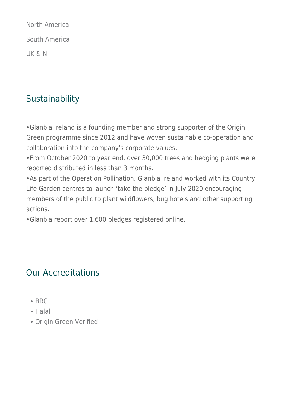North America South America UK & NI

## **Sustainability**

•Glanbia Ireland is a founding member and strong supporter of the Origin Green programme since 2012 and have woven sustainable co-operation and collaboration into the company's corporate values.

•From October 2020 to year end, over 30,000 trees and hedging plants were reported distributed in less than 3 months.

•As part of the Operation Pollination, Glanbia Ireland worked with its Country Life Garden centres to launch 'take the pledge' in July 2020 encouraging members of the public to plant wildflowers, bug hotels and other supporting actions.

•Glanbia report over 1,600 pledges registered online.

## Our Accreditations

- $-BRC$
- Halal
- Origin Green Verified